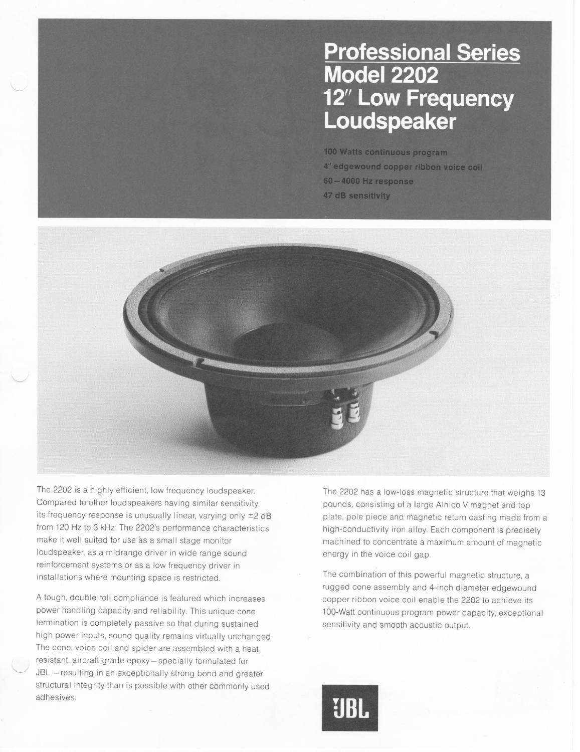## **Professional Series<br>Model 2202** 12" Low Frequency Loudspeaker

**100 Watts continuous program 4" edgewound copper ribbon voice coil 60-4000 Hz response 47 dB sensitivity** 



The 2202 is a highly efficient, low frequency loudspeaker. Compared to other loudspeakers having similar sensitivity. its frequency response is unusually linear, varying only  $\pm 2$  dB from 120 Hz to 3 kHz. The 2202's performance characteristics make it well suited for use as a small stage monitor loudspeaker, as a midrange driver in wide range sound reinforcement systems or as a low frequency driver in installations where mounting space is restricted.

A tough, double roll compliance is featured which increases power handling capacity and reliability. This unique cone termination is completely passive so that during sustained high power inputs, sound quality remains virtually unchanged. The cone, voice coil and spider are assembled with a heat resistant, aircraft-grade epoxy - specially formulated for JBL -resulting in an exceptionally strong bond and greater structural integrity than is possible with other commonly used adhesives.

The 2202 has a low-loss magnetic structure that weighs 13 pounds, consisting of a large Alnico V magnet and top plate, pole piece and magnetic return casting made from a high-conductivity iron alloy. Each component is precisely machined to concentrate a maximum amount of magnetic energy in the voice coil gap.

The combination of this powerful magnetic structure, a rugged cone assembly and 4-inch diameter edgewound copper ribbon voice coil enable the 2202 to achieve its 100-Watt continuous program power capacity, exceptional sensitivity and smooth acoustic output.